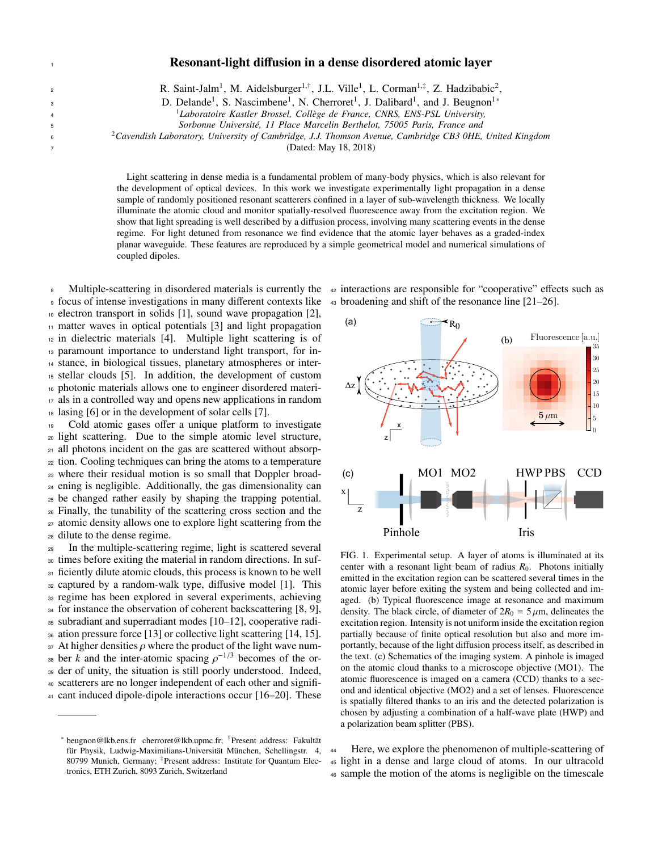3

## Resonant-light diffusion in a dense disordered atomic layer

2 R. Saint-Jalm<sup>1</sup>, M. Aidelsburger<sup>1,†</sup>, J.L. Ville<sup>1</sup>, L. Corman<sup>1,‡</sup>, Z. Hadzibabic<sup>2</sup>,

D. Delande<sup>1</sup>, S. Nascimbene<sup>1</sup>, N. Cherroret<sup>1</sup>, J. Dalibard<sup>1</sup>, and J. Beugnon<sup>1</sup>\*

<sup>1</sup>Laboratoire Kastler Brossel, Collège de France, CNRS, ENS-PSL University,

<sup>5</sup> *Sorbonne Universit´e, 11 Place Marcelin Berthelot, 75005 Paris, France and*

2 <sup>6</sup> *Cavendish Laboratory, University of Cambridge, J.J. Thomson Avenue, Cambridge CB3 0HE, United Kingdom*

<sup>7</sup> (Dated: May 18, 2018)

Light scattering in dense media is a fundamental problem of many-body physics, which is also relevant for the development of optical devices. In this work we investigate experimentally light propagation in a dense sample of randomly positioned resonant scatterers confined in a layer of sub-wavelength thickness. We locally illuminate the atomic cloud and monitor spatially-resolved fluorescence away from the excitation region. We show that light spreading is well described by a diffusion process, involving many scattering events in the dense regime. For light detuned from resonance we find evidence that the atomic layer behaves as a graded-index planar waveguide. These features are reproduced by a simple geometrical model and numerical simulations of coupled dipoles.

<sup>8</sup> Multiple-scattering in disordered materials is currently the <sup>42</sup> interactions are responsible for "cooperative" effects such as focus of intense investigations in many different contexts like <sup>43</sup> broadening and shift of the resonance line [21–26]. electron transport in solids [1], sound wave propagation [2], matter waves in optical potentials [3] and light propagation in dielectric materials [4]. Multiple light scattering is of paramount importance to understand light transport, for in- stance, in biological tissues, planetary atmospheres or inter- stellar clouds [5]. In addition, the development of custom photonic materials allows one to engineer disordered materi- als in a controlled way and opens new applications in random lasing [6] or in the development of solar cells [7].

 Cold atomic gases offer a unique platform to investigate light scattering. Due to the simple atomic level structure, all photons incident on the gas are scattered without absorp- tion. Cooling techniques can bring the atoms to a temperature where their residual motion is so small that Doppler broad- ening is negligible. Additionally, the gas dimensionality can be changed rather easily by shaping the trapping potential. Finally, the tunability of the scattering cross section and the atomic density allows one to explore light scattering from the dilute to the dense regime.

 In the multiple-scattering regime, light is scattered several times before exiting the material in random directions. In suf-31 ficiently dilute atomic clouds, this process is known to be well captured by a random-walk type, diffusive model [1]. This 33 regime has been explored in several experiments, achieving for instance the observation of coherent backscattering [8, 9], subradiant and superradiant modes [10–12], cooperative radi- ation pressure force [13] or collective light scattering [14, 15]. 37 At higher densities  $\rho$  where the product of the light wave num-<br>32 her k and the inter-atomic spacing  $\rho^{-1/3}$  becomes of the or-<sup>38</sup> ber *k* and the inter-atomic spacing  $\rho^{-1/3}$  becomes of the or-<br><sup>38</sup> der of unity the situation is still poorly understood. Indeed der of unity, the situation is still poorly understood. Indeed, scatterers are no longer independent of each other and signifi-cant induced dipole-dipole interactions occur [16–20]. These



FIG. 1. Experimental setup. A layer of atoms is illuminated at its center with a resonant light beam of radius  $R_0$ . Photons initially emitted in the excitation region can be scattered several times in the atomic layer before exiting the system and being collected and imaged. (b) Typical fluorescence image at resonance and maximum density. The black circle, of diameter of  $2R_0 = 5 \mu m$ , delineates the excitation region. Intensity is not uniform inside the excitation region partially because of finite optical resolution but also and more importantly, because of the light diffusion process itself, as described in the text. (c) Schematics of the imaging system. A pinhole is imaged on the atomic cloud thanks to a microscope objective (MO1). The atomic fluorescence is imaged on a camera (CCD) thanks to a second and identical objective (MO2) and a set of lenses. Fluorescence is spatially filtered thanks to an iris and the detected polarization is chosen by adjusting a combination of a half-wave plate (HWP) and a polarization beam splitter (PBS).

<sup>44</sup> Here, we explore the phenomenon of multiple-scattering of <sup>45</sup> light in a dense and large cloud of atoms. In our ultracold <sup>46</sup> sample the motion of the atoms is negligible on the timescale

<sup>∗</sup> beugnon@lkb.ens.fr cherroret@lkb.upmc.fr; †Present address: Fakultat¨ für Physik, Ludwig-Maximilians-Universität München, Schellingstr. 4, 80799 Munich, Germany; ‡Present address: Institute for Quantum Electronics, ETH Zurich, 8093 Zurich, Switzerland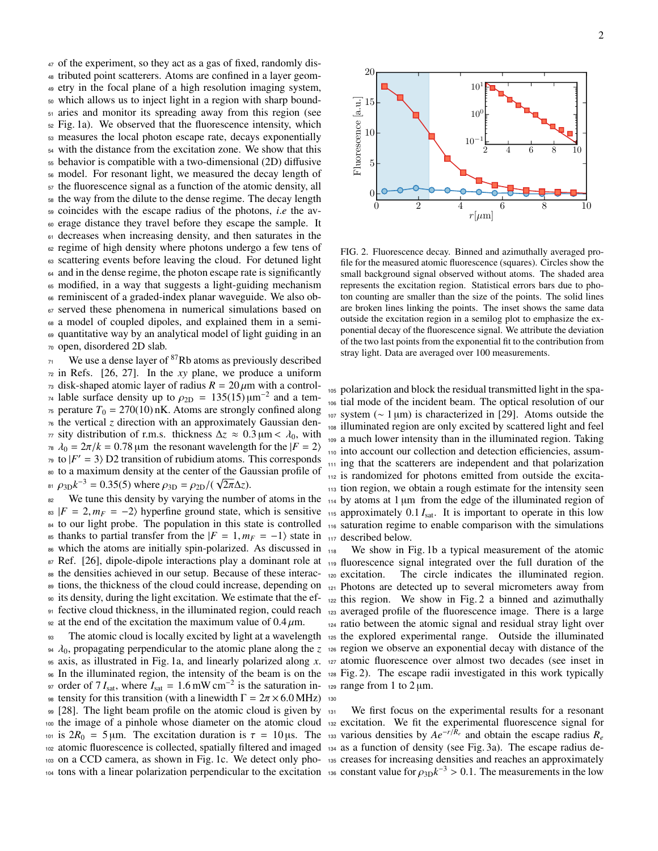of the experiment, so they act as a gas of fixed, randomly dis- tributed point scatterers. Atoms are confined in a layer geom- etry in the focal plane of a high resolution imaging system, which allows us to inject light in a region with sharp bound- aries and monitor its spreading away from this region (see Fig. 1a). We observed that the fluorescence intensity, which measures the local photon escape rate, decays exponentially with the distance from the excitation zone. We show that this behavior is compatible with a two-dimensional (2D) diffusive model. For resonant light, we measured the decay length of the fluorescence signal as a function of the atomic density, all the way from the dilute to the dense regime. The decay length  $\epsilon_{59}$  coincides with the escape radius of the photons, *i.e* the av-<br> $\epsilon_{50}$  erage distance they travel before they escape the sample. It erage distance they travel before they escape the sample. It decreases when increasing density, and then saturates in the <sup>62</sup> regime of high density where photons undergo a few tens of scattering events before leaving the cloud. For detuned light <sup>64</sup> and in the dense regime, the photon escape rate is significantly modified, in a way that suggests a light-guiding mechanism reminiscent of a graded-index planar waveguide. We also ob- served these phenomena in numerical simulations based on a model of coupled dipoles, and explained them in a semi- quantitative way by an analytical model of light guiding in an open, disordered 2D slab.

 $71$  We use a dense layer of <sup>87</sup>Rb atoms as previously described  $72$  in Refs. [26, 27]. In the *xy* plane, we produce a uniform  $\tau_3$  disk-shaped atomic layer of radius  $R = 20 \mu m$  with a control-<sup>74</sup> lable surface density up to  $\rho_{2D} = 135(15)\mu m^{-2}$  and a tem-<br><sub>75</sub> perature  $T_0 = 270(10)\text{ nK}$ . Atoms are strongly confined along  $\tau$ <sub>5</sub> perature  $T_0 = 270(10)$  nK. Atoms are strongly confined along <sup>76</sup> the vertical *z* direction with an approximately Gaussian den*π* sity distribution of r.m.s. thickness  $Δz ≈ 0.3 \mu m < λ_0$ , with  $λ_0 = 2π/k = 0.78 \mu m$  the resonant wavelength for the  $|F = 2⟩$  $\lambda_0 = 2\pi/k = 0.78 \,\text{\mu m}$  the resonant wavelength for the  $|F = 2\rangle$ <br><sup>79</sup> to  $|F' = 3\rangle$  D2 transition of rubidium atoms. This corresponds  $\pi$ <sup>9</sup> to  $|F' = 3\rangle$  D2 transition of rubidium atoms. This corresponds <sup>80</sup> to a maximum density at the center of the Gaussian profile of <sup>81</sup>  $\rho_{3D}k^{-3} = 0.35(5)$  where  $\rho_{3D} = \rho_{2D}/(\sqrt{2\pi}\Delta z)$ .<br>We turn this density by verying the number

<sup>82</sup> We tune this density by varying the number of atoms in the  $83$   $|F = 2, m_F = -2$  hyperfine ground state, which is sensitive <sup>84</sup> to our light probe. The population in this state is controlled 85 thanks to partial transfer from the  $|F = 1, m_F = -1\rangle$  state in  $_{117}$  described below.<br>126 which the atoms are initially spin-polarized. As discussed in  $_{117}$  when the story in Fig. 86 which the atoms are initially spin-polarized. As discussed in  $_{118}$ 87 Ref. [26], dipole-dipole interactions play a dominant role at <sub>119</sub> fluorescence signal integrated over the full duration of the <sup>88</sup> the densities achieved in our setup. Because of these interac-89 tions, the thickness of the cloud could increase, depending on  $_{121}$  Photons are detected up to several micrometers away from <sup>90</sup> its density, during the light excitation. We estimate that the ef-91 fective cloud thickness, in the illuminated region, could reach <sub>123</sub> averaged profile of the fluorescence image. There is a large 92 at the end of the excitation the maximum value of  $0.4 \mu$ m.<br>
93 The atomic cloud is locally excited by light at a wavelen

 $\lambda_0$ , propagating perpendicular to the atomic plane along the *z*  $\alpha$  region we observe an exponential decay with distance of the axis as illustrated in Fig. 1a, and linearly polarized along x,  $\alpha$  atomic fluorescence <sup>95</sup> axis, as illustrated in Fig. 1a, and linearly polarized along *x*. <sup>127</sup> atomic fluorescence over almost two decades (see inset in <sup>96</sup> In the illuminated region, the intensity of the beam is on the <sup>128</sup> Fig. 2). The escape radii investigated in this work typically <sup>97</sup> order of 7 *I*<sub>sat</sub>, where *I*<sub>sat</sub> = 1.6 mW cm<sup>-2</sup> is the saturation in-<br><sup>129</sup> is tensity for this transition (with a linewidth Γ – 2π × 6.0 MHz) 120 98 tensity for this transition (with a linewidth  $\Gamma = 2\pi \times 6.0 \text{ MHz}$ ) 130<br>99 [28] The light beam profile on the atomic cloud is given by 99 [28]. The light beam profile on the atomic cloud is given by 131 <sup>100</sup> the image of a pinhole whose diameter on the atomic cloud 101 is  $2R_0 = 5 \mu m$ . The excitation duration is  $\tau = 10 \mu s$ . The atomic fluorescence is collected spatially filtered and imaged <sup>102</sup> atomic fluorescence is collected, spatially filtered and imaged <sup>134</sup> as a function of density (see Fig. 3a). The escape radius de-103 on a CCD camera, as shown in Fig. 1c. We detect only pho-135 creases for increasing densities and reaches an approximately <sup>104</sup> tons with a linear polarization perpendicular to the excitation <sup>136</sup> constant value for  $\rho_{3D}k^{-3} > 0.1$ . The measurements in the low

2



FIG. 2. Fluorescence decay. Binned and azimuthally averaged profile for the measured atomic fluorescence (squares). Circles show the small background signal observed without atoms. The shaded area represents the excitation region. Statistical errors bars due to photon counting are smaller than the size of the points. The solid lines are broken lines linking the points. The inset shows the same data outside the excitation region in a semilog plot to emphasize the exponential decay of the fluorescence signal. We attribute the deviation of the two last points from the exponential fit to the contribution from stray light. Data are averaged over 100 measurements.

 polarization and block the residual transmitted light in the spa- tial mode of the incident beam. The optical resolution of our system (∼ 1 µm) is characterized in [29]. Atoms outside the illuminated region are only excited by scattered light and feel a much lower intensity than in the illuminated region. Taking into account our collection and detection efficiencies, assum- ing that the scatterers are independent and that polarization is randomized for photons emitted from outside the excita- tion region, we obtain a rough estimate for the intensity seen by atoms at 1 µm from the edge of the illuminated region of  $\mu_{115}$  approximately 0.1  $I_{\text{sat}}$ . It is important to operate in this low saturation regime to enable comparison with the simulations

<sup>93</sup> The atomic cloud is locally excited by light at a wavelength <sup>125</sup> the explored experimental range. Outside the illuminated We show in Fig. 1b a typical measurement of the atomic <sup>120</sup> excitation. The circle indicates the illuminated region. <sup>122</sup> this region. We show in Fig. 2 a binned and azimuthally <sup>124</sup> ratio between the atomic signal and residual stray light over

> We first focus on the experimental results for a resonant <sup>132</sup> excitation. We fit the experimental fluorescence signal for 133 various densities by  $Ae^{-r/R_e}$  and obtain the escape radius  $R_e$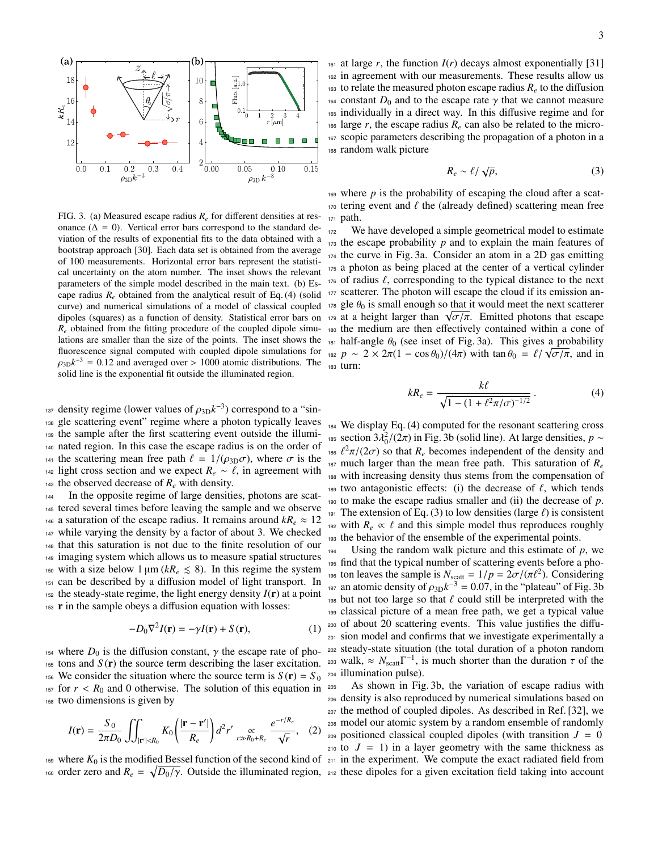

FIG. 3. (a) Measured escape radius *R<sup>e</sup>* for different densities at resonance ( $\Delta = 0$ ). Vertical error bars correspond to the standard deviation of the results of exponential fits to the data obtained with a bootstrap approach [30]. Each data set is obtained from the average of 100 measurements. Horizontal error bars represent the statistical uncertainty on the atom number. The inset shows the relevant parameters of the simple model described in the main text. (b) Escape radius  $R_e$  obtained from the analytical result of Eq. (4) (solid curve) and numerical simulations of a model of classical coupled dipoles (squares) as a function of density. Statistical error bars on  $R_e$  obtained from the fitting procedure of the coupled dipole simulations are smaller than the size of the points. The inset shows the fluorescence signal computed with coupled dipole simulations for  $\rho_{3D}k^{-3} = 0.12$  and averaged over > 1000 atomic distributions. The solid line is the exponential fit outside the illuminated region solid line is the exponential fit outside the illuminated region.

 $\frac{1}{37}$  density regime (lower values of  $\rho_{3D}k^{-3}$ ) correspond to a "sin-<br>137 gle scattering event" regime where a photon typically leaves <sup>138</sup> gle scattering event" regime where a photon typically leaves <sup>139</sup> the sample after the first scattering event outside the illumi-<sup>140</sup> nated region. In this case the escape radius is on the order of <sup>141</sup> the scattering mean free path  $\ell = 1/(\rho_{3D}\sigma)$ , where  $\sigma$  is the 142 light cross section and we expect  $R_e \sim \ell$ , in agreement with <sup>142</sup> light cross section and we expect  $R_e \sim \ell$ , in agreement with <br><sup>143</sup> the observed decrease of  $R_e$  with density. the observed decrease of  $R_e$  with density.

 In the opposite regime of large densities, photons are scat- tered several times before leaving the sample and we observe 146 a saturation of the escape radius. It remains around  $kR_e \approx 12$  while varying the density by a factor of about 3. We checked that this saturation is not due to the finite resolution of our imaging system which allows us to measure spatial structures 150 with a size below  $1 \mu m (kR_e \leq 8)$ . In this regime the system can be described by a diffusion model of light transport. In  $_{152}$  the steady-state regime, the light energy density  $I(r)$  at a point r in the sample obeys a diffusion equation with losses:

$$
-D_0 \nabla^2 I(\mathbf{r}) = -\gamma I(\mathbf{r}) + S(\mathbf{r}),\tag{1}
$$

<sup>154</sup> where  $D_0$  is the diffusion constant,  $\gamma$  the escape rate of pho- $155$  tons and  $S(\mathbf{r})$  the source term describing the laser excitation. <sup>156</sup> We consider the situation where the source term is  $S(\mathbf{r}) = S_0$  $157$  for  $r < R_0$  and 0 otherwise. The solution of this equation in <sup>158</sup> two dimensions is given by

$$
I(\mathbf{r}) = \frac{S_0}{2\pi D_0} \iiint_{|\mathbf{r}'| < R_0} K_0 \left( \frac{|\mathbf{r} - \mathbf{r}'|}{R_e} \right) d^2 r' \underset{r \gg R_0 + R_e}{\propto} \frac{e^{-r/R_e}}{\sqrt{r}}, \quad (2)
$$

 $159$  where  $K_0$  is the modified Bessel function of the second kind of  $211$  in the experiment. We compute the exact radiated field from <sup>160</sup> order zero and  $R_e = \sqrt{D_0/\gamma}$ . Outside the illuminated region, <sub>212</sub> these dipoles for a given excitation field taking into account

161 at large  $r$ , the function  $I(r)$  decays almost exponentially [31] <sup>162</sup> in agreement with our measurements. These results allow us 163 to relate the measured photon escape radius  $R_e$  to the diffusion <sup>164</sup> constant  $D_0$  and to the escape rate  $\gamma$  that we cannot measure is individually in a direct way. In this diffusive regime and for individually in a direct way. In this diffusive regime and for  $166$  large *r*, the escape radius  $R_e$  can also be related to the micro-<sup>167</sup> scopic parameters describing the propagation of a photon in a <sup>168</sup> random walk picture

$$
R_e \sim \ell / \sqrt{p},\tag{3}
$$

 $169$  where *p* is the probability of escaping the cloud after a scat-<sup>170</sup> tering event and  $\ell$  the (already defined) scattering mean free<br><sup>171</sup> path. path.

172 We have developed a simple geometrical model to estimate <sup>173</sup> the escape probability *p* and to explain the main features of <sup>174</sup> the curve in Fig. 3a. Consider an atom in a 2D gas emitting <sup>175</sup> a photon as being placed at the center of a vertical cylinder  $176$  of radius  $\ell$ , corresponding to the typical distance to the next <sup>177</sup> scatterer. The photon will escape the cloud if its emission an- $178$  gle  $\theta_0$  is small enough so that it would meet the next scatterer 178 gie  $\theta_0$  is small enough so that it would meet the next scatterer<br>179 at a height larger than  $\sqrt{\sigma/\pi}$ . Emitted photons that escape <sup>180</sup> the medium are then effectively contained within a cone of 181 half-angle  $\theta_0$  (see inset of Fig. 3a). This gives a probability *p* ≈ 2 × 2π(1 – cos  $\theta_0$ )/(4π) with tan  $\theta_0 = \ell / \sqrt{\sigma / \pi}$ , and in  $\theta_0$  = turn: <sup>183</sup> turn:

$$
kR_e = \frac{k\ell}{\sqrt{1 - (1 + \ell^2 \pi/\sigma)^{-1/2}}}.
$$
 (4)

<sup>184</sup> We display Eq. (4) computed for the resonant scattering cross <sup>185</sup> section 3λ<sup>2</sup><sub>0</sub>/(2π) in Fig. 3b (solid line). At large densities, *p* ∼ <sup>187</sup> much larger than the mean free path. This saturation of  $R_e$ <sup>186</sup>  $\ell^2 \pi/(2\sigma)$  so that  $R_e$  becomes independent of the density and<br><sup>187</sup> much larger than the mean free path. This saturation of R with increasing density thus stems from the compensation of <sup>189</sup> two antagonistic effects: (i) the decrease of  $\ell$ , which tends to make the escape radius smaller and (ii) the decrease of  $\nu$ . to make the escape radius smaller and (ii) the decrease of  $p$ . 191 The extension of Eq. (3) to low densities (large  $\ell$ ) is consistent <sup>192</sup> with  $R_e \propto \ell$  and this simple model thus reproduces roughly<br><sup>193</sup> the behavior of the ensemble of the experimental points. the behavior of the ensemble of the experimental points.

 Using the random walk picture and this estimate of *p*, we find that the typical number of scattering events before a photo ton leaves the sample is  $N_{\text{scatt}} = 1/p = 2\sigma/(\pi l^2)$ . Considering  $n_{\text{tot}}$  an atomic density of  $\omega_{\text{tot}} k^{-3} = 0.07$  in the "plateau" of Fig. 3b <sup>197</sup> an atomic density of  $\rho_{3D}k^{-3} = 0.07$ , in the "plateau" of Fig. 3b<br><sup>197</sup> but not too large so that *f* could still be interpreted with the 198 but not too large so that  $\ell$  could still be interpreted with the classical picture of a mean free path, we get a typical value of about 20 scattering events. This value justifies the diffu- sion model and confirms that we investigate experimentally a steady-state situation (the total duration of a photon random <sup>203</sup> walk,  $\approx N_{\text{scatt}} \Gamma^{-1}$ , is much shorter than the duration  $\tau$  of the illumination pulse) illumination pulse).

 As shown in Fig. 3b, the variation of escape radius with density is also reproduced by numerical simulations based on the method of coupled dipoles. As described in Ref. [32], we model our atomic system by a random ensemble of randomly 209 positioned classical coupled dipoles (with transition  $J = 0$ to  $J = 1$ ) in a layer geometry with the same thickness as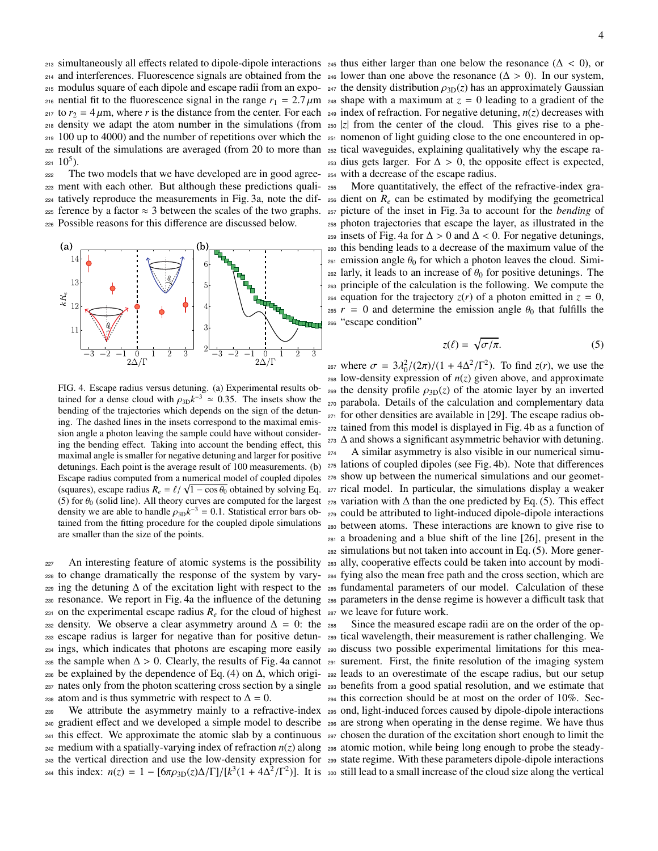214 and interferences. Fluorescence signals are obtained from the 246 lower than one above the resonance ( $\Delta > 0$ ). In our system,<br>215 modulus square of each dipole and escape radii from an expositive density distribution 215 modulus square of each dipole and escape radii from an expo- 247 the density distribution  $\rho_{3D}(z)$  has an approximately Gaussian 216 nential fit to the fluorescence signal in the range  $r_1 = 2.7 \mu m$  248 shape with a maximum at  $z = 0$  leading to a gradient of the contents of the distance from the center. For each 210 index of refraction. For pegativ 217 to  $r_2 = 4 \mu$ m, where *r* is the distance from the center. For each 249 index of refraction. For negative detuning,  $n(z)$  decreases with  $n_{20}$  decreases with  $n_{20}$  decreases with 218 density we adapt the atom number in the simulations (from 250 |z| from the center of the cloud. This gives rise to a phe- $_{219}$  100 up to 4000) and the number of repetitions over which the  $_{251}$  nomenon of light guiding close to the one encountered in op-<sup>220</sup> result of the simulations are averaged (from 20 to more than <sup>252</sup> tical waveguides, explaining qualitatively why the escape ra- $221 \; 10^5$ ).

222 The two models that we have developed are in good agree- 254 ment with each other. But although these predictions quali- tatively reproduce the measurements in Fig. 3a, note the dif- ference by a factor  $\approx$  3 between the scales of the two graphs.  $257$ Possible reasons for this difference are discussed below.



FIG. 4. Escape radius versus detuning. (a) Experimental results obtained for a dense cloud with  $\rho_{3D}k^{-3} \approx 0.35$ . The insets show the heading of the trajectories which depends on the sign of the detunbending of the trajectories which depends on the sign of the detuning. The dashed lines in the insets correspond to the maximal emission angle a photon leaving the sample could have without considering the bending effect. Taking into account the bending effect, this maximal angle is smaller for negative detuning and larger for positive detunings. Each point is the average result of 100 measurements. (b) Escape radius computed from a numerical model of coupled dipoles Escape radius computed from a numerical model of coupled dipoles<br>(squares), escape radius  $R_e = \ell / \sqrt{1 - \cos \theta_0}$  obtained by solving Eq.<br>(5) for  $\theta_0$  (solid line). All theory curves are computed for the largest (5) for  $\theta_0$  (solid line). All theory curves are computed for the largest density we are able to handle  $\rho_{3D}k^{-3} = 0.1$ . Statistical error bars obtained from the fitting procedure for the coupled dipole simulations tained from the fitting procedure for the coupled dipole simulations are smaller than the size of the points.

 to change dramatically the response of the system by vary-<sup>284</sup> fying also the mean free path and the cross section, which are ing the detuning ∆ of the excitation light with respect to the <sup>285</sup> fundamental parameters of our model. Calculation of these resonance. We report in Fig. 4a the influence of the detuning <sup>286</sup> parameters in the dense regime is however a difficult task that  $_{231}$  on the experimental escape radius  $R_e$  for the cloud of highest  $_{287}$  we leave for future work. 232 density. We observe a clear asymmetry around  $\Delta = 0$ : the 288 escape radius is larger for negative than for positive detun-<sup>289</sup> tical wavelength, their measurement is rather challenging. We ings, which indicates that photons are escaping more easily <sup>290</sup> discuss two possible experimental limitations for this mea-235 the sample when  $\Delta > 0$ . Clearly, the results of Fig. 4a cannot 291 surement. First, the finite resolution of the imaging system be explained by the dependence of Eq. (4) on  $\Delta$  which origing a leads to an overestima be explained by the dependence of Eq. (4) on ∆, which origi-<sup>292</sup> leads to an overestimate of the escape radius, but our setup nates only from the photon scattering cross section by a single <sup>293</sup> benefits from a good spatial resolution, and we estimate that 238 atom and is thus symmetric with respect to  $\Delta = 0$ .

<sup>240</sup> gradient effect and we developed a simple model to describe <sup>296</sup> are strong when operating in the dense regime. We have thus  $_{241}$  this effect. We approximate the atomic slab by a continuous  $_{297}$  chosen the duration of the excitation short enough to limit the <sup>242</sup> medium with a spatially-varying index of refraction *n*(*z*) along <sup>298</sup> atomic motion, while being long enough to probe the steady-<sup>243</sup> the vertical direction and use the low-density expression for <sup>299</sup> state regime. With these parameters dipole-dipole interactions  $_{244}$  this index:  $n(z) = 1 - \frac{6\pi \rho_{3D}(z) \Delta \Gamma}{|k^3(1 + 4\Delta^2/\Gamma^2)|}$ . It is soo still lead to a small increase of the cloud size along the vertical

213 simultaneously all effects related to dipole-dipole interactions 245 thus either larger than one below the resonance ( $\Delta < 0$ ), or  $\omega$  and interferences. Fluorescence signals are obtained from the 246 lower than one  $253$  dius gets larger. For  $\Delta > 0$ , the opposite effect is expected, with a decrease of the escape radius.

> <sup>255</sup> More quantitatively, the effect of the refractive-index gra- $256$  dient on  $R_e$  can be estimated by modifying the geometrical <sup>257</sup> picture of the inset in Fig. 3a to account for the *bending* of <sup>258</sup> photon trajectories that escape the layer, as illustrated in the <sup>259</sup> insets of Fig. 4a for  $\Delta > 0$  and  $\Delta < 0$ . For negative detunings,  $\Delta$ <sub>260</sub> this bending leads to a decrease of the maximum value of the this bending leads to a decrease of the maximum value of the <sup>261</sup> emission angle  $\theta_0$  for which a photon leaves the cloud. Simi-<br><sup>262</sup> larly, it leads to an increase of  $\theta_0$  for positive detunings. The <sup>262</sup> larly, it leads to an increase of  $θ_0$  for positive detunings. The <sup>263</sup> principle of the calculation is the following. We compute the <sup>263</sup> principle of the calculation is the following. We compute the <sup>264</sup> equation for the trajectory  $z(r)$  of a photon emitted in  $z = 0$ , <sup>265</sup>  $r = 0$  and determine the emission angle  $\theta_0$  that fulfills the <sup>266</sup> "escape condition" "escape condition"

$$
z(\ell) = \sqrt{\sigma/\pi}.\tag{5}
$$

227 An interesting feature of atomic systems is the possibility 283 ally, cooperative effects could be taken into account by modi-<sup>267</sup> where  $\sigma = 3\lambda_0^2/(2\pi)/(1 + 4\Delta^2/\Gamma^2)$ . To find *z*(*r*), we use the low-density expression of *n*(*z*) given above and approximate low-density expression of  $n(z)$  given above, and approximate <sup>269</sup> the density profile  $\rho_{3D}(z)$  of the atomic layer by an inverted  $z_{70}$  parabola. Details of the calculation and complementary data parabola. Details of the calculation and complementary data for other densities are available in [29]. The escape radius ob- tained from this model is displayed in Fig. 4b as a function of ∆ and shows a significant asymmetric behavior with detuning. A similar asymmetry is also visible in our numerical simu- lations of coupled dipoles (see Fig. 4b). Note that differences show up between the numerical simulations and our geomet- rical model. In particular, the simulations display a weaker 278 variation with  $\Delta$  than the one predicted by Eq. (5). This effect could be attributed to light-induced dipole-dipole interactions between atoms. These interactions are known to give rise to a broadening and a blue shift of the line [26], present in the simulations but not taken into account in Eq. (5). More gener-

<sup>239</sup> We attribute the asymmetry mainly to a refractive-index <sup>295</sup> ond, light-induced forces caused by dipole-dipole interactions Since the measured escape radii are on the order of the op-<sup>294</sup> this correction should be at most on the order of 10%. Sec-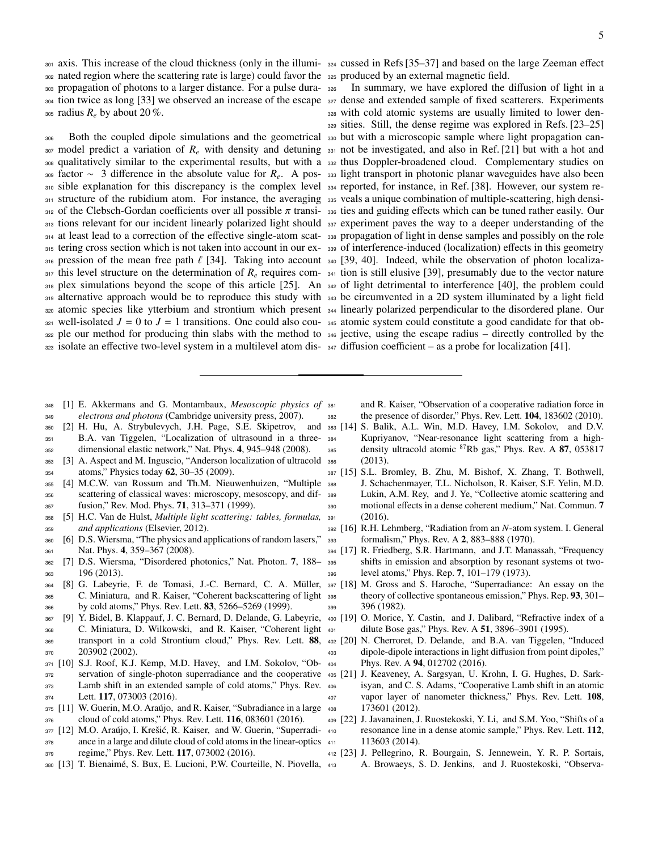302 nated region where the scattering rate is large) could favor the 325 produced by an external magnetic field. propagation of photons to a larger distance. For a pulse dura- tion twice as long [33] we observed an increase of the escape <sup>327</sup> dense and extended sample of fixed scatterers. Experiments radius  $R_e$  by about 20 %.

307 model predict a variation of  $R_e$  with density and detuning 331 not be investigated, and also in Ref. [21] but with a hot and qualitatively similar to the experimental results, but with a <sup>332</sup> thus Doppler-broadened cloud. Complementary studies on 309 factor ~ 3 difference in the absolute value for  $R_e$ . A pos- 333 light transport in photonic planar waveguides have also been 310 sible explanation for this discrepancy is the complex level 334 reported, for instance, in Ref. [38]. However, our system re-311 structure of the rubidium atom. For instance, the averaging 335 veals a unique combination of multiple-scattering, high densi-312 of the Clebsch-Gordan coefficients over all possible  $\pi$  transi- 336 ties and guiding effects which can be tuned rather easily. Our set tions relevant for our incident linearly polarized light should are experiment p 313 tions relevant for our incident linearly polarized light should 337 experiment paves the way to a deeper understanding of the at least lead to a correction of the effective single-atom scat-<sup>338</sup> propagation of light in dense samples and possibly on the role 315 tering cross section which is not taken into account in our ex- 339 of interference-induced (localization) effects in this geometry 316 pression of the mean free path  $\ell$  [34]. Taking into account 340 [39, 40]. Indeed, while the observation of photon localiza-<br>345 this level structure on the determination of R requires com- 244 tion is still elusive this level structure on the determination of  $R_e$  requires com- $341$  tion is still elusive [39], presumably due to the vector nature 318 plex simulations beyond the scope of this article [25]. An <sub>342</sub> of light detrimental to interference [40], the problem could 319 alternative approach would be to reproduce this study with 343 be circumvented in a 2D system illuminated by a light field atomic species like ytterbium and strontium which present <sup>344</sup> linearly polarized perpendicular to the disordered plane. Our well-isolated  $J = 0$  to  $J = 1$  transitions. One could also cou-  $345$  atomic system could constitute a good candidate for that ob-322 ple our method for producing thin slabs with the method to  $\frac{346}{5}$  jective, using the escape radius – directly controlled by the isolate an effective two-level system in a multilevel atom dis-<sup>347</sup> diffusion coefficient – as a probe for localization [41].

301 axis. This increase of the cloud thickness (only in the illumi- 324 cussed in Refs [35–37] and based on the large Zeeman effect

306 Both the coupled dipole simulations and the geometrical 330 but with a microscopic sample where light propagation can-In summary, we have explored the diffusion of light in a with cold atomic systems are usually limited to lower den-sities. Still, the dense regime was explored in Refs. [23–25]

- [1] E. Akkermans and G. Montambaux, *Mesoscopic physics of electrons and photons* (Cambridge university press, 2007).
- [2] H. Hu, A. Strybulevych, J.H. Page, S.E. Skipetrov, and B.A. van Tiggelen, "Localization of ultrasound in a three-dimensional elastic network," Nat. Phys. 4, 945–948 (2008).
- [3] A. Aspect and M. Inguscio, "Anderson localization of ultracold atoms," Physics today 62, 30–35 (2009).
- [4] M.C.W. van Rossum and Th.M. Nieuwenhuizen, "Multiple scattering of classical waves: microscopy, mesoscopy, and dif-fusion," Rev. Mod. Phys. 71, 313–371 (1999).
- [5] H.C. Van de Hulst, *Multiple light scattering: tables, formulas, and applications* (Elsevier, 2012).
- [6] D.S. Wiersma, "The physics and applications of random lasers," Nat. Phys. 4, 359–367 (2008).
- [7] D.S. Wiersma, "Disordered photonics," Nat. Photon. 7, 188– 196 (2013).
- 364 [8] G. Labeyrie, F. de Tomasi, J.-C. Bernard, C. A. Müller, 397 [18] C. Miniatura, and R. Kaiser, "Coherent backscattering of light by cold atoms," Phys. Rev. Lett. 83, 5266–5269 (1999).
- [9] Y. Bidel, B. Klappauf, J. C. Bernard, D. Delande, G. Labeyrie, C. Miniatura, D. Wilkowski, and R. Kaiser, "Coherent light 369 transport in a cold Strontium cloud," Phys. Rev. Lett. 88, 402 [20] 203902 (2002).
- [10] S.J. Roof, K.J. Kemp, M.D. Havey, and I.M. Sokolov, "Ob-
- 372 servation of single-photon superradiance and the cooperative 405
- Lamb shift in an extended sample of cold atoms," Phys. Rev. Lett. 117, 073003 (2016).
- 375 [11] W. Guerin, M.O. Araújo, and R. Kaiser, "Subradiance in a large cloud of cold atoms," Phys. Rev. Lett. 116, 083601 (2016).
- 377 [12] M.O. Araújo, I. Krešić, R. Kaiser, and W. Guerin, "Superradi- 410 378 ance in a large and dilute cloud of cold atoms in the linear-optics 411
- regime," Phys. Rev. Lett. 117, 073002 (2016).
- 380 [13] T. Bienaimé, S. Bux, E. Lucioni, P.W. Courteille, N. Piovella, 413

 and R. Kaiser, "Observation of a cooperative radiation force in the presence of disorder," Phys. Rev. Lett. 104, 183602 (2010).

- S. Balik, A.L. Win, M.D. Havey, I.M. Sokolov, and D.V. Kupriyanov, "Near-resonance light scattering from a highass density ultracold atomic <sup>87</sup>Rb gas," Phys. Rev. A 87, 053817 (2013).
- [15] S.L. Bromley, B. Zhu, M. Bishof, X. Zhang, T. Bothwell, J. Schachenmayer, T.L. Nicholson, R. Kaiser, S.F. Yelin, M.D. Lukin, A.M. Rey, and J. Ye, "Collective atomic scattering and motional effects in a dense coherent medium," Nat. Commun. 7 (2016).
- [16] R.H. Lehmberg, "Radiation from an *N*-atom system. I. General formalism," Phys. Rev. A 2, 883–888 (1970).
- [17] R. Friedberg, S.R. Hartmann, and J.T. Manassah, "Frequency shifts in emission and absorption by resonant systems ot two-level atoms," Phys. Rep. 7, 101–179 (1973).
- M. Gross and S. Haroche, "Superradiance: An essay on the theory of collective spontaneous emission," Phys. Rep. 93, 301– 396 (1982).
- [19] O. Morice, Y. Castin, and J. Dalibard, "Refractive index of a dilute Bose gas," Phys. Rev. A 51, 3896–3901 (1995).
- N. Cherroret, D. Delande, and B.A. van Tiggelen, "Induced dipole-dipole interactions in light diffusion from point dipoles," 404 Phys. Rev. A 94, 012702 (2016).
- [21] J. Keaveney, A. Sargsyan, U. Krohn, I. G. Hughes, D. Sark- isyan, and C. S. Adams, "Cooperative Lamb shift in an atomic 407 vapor layer of nanometer thickness," Phys. Rev. Lett. 108, 173601 (2012).
- [22] J. Javanainen, J. Ruostekoski, Y. Li, and S.M. Yoo, "Shifts of a resonance line in a dense atomic sample," Phys. Rev. Lett. 112, 113603 (2014).
- [23] J. Pellegrino, R. Bourgain, S. Jennewein, Y. R. P. Sortais, A. Browaeys, S. D. Jenkins, and J. Ruostekoski, "Observa-